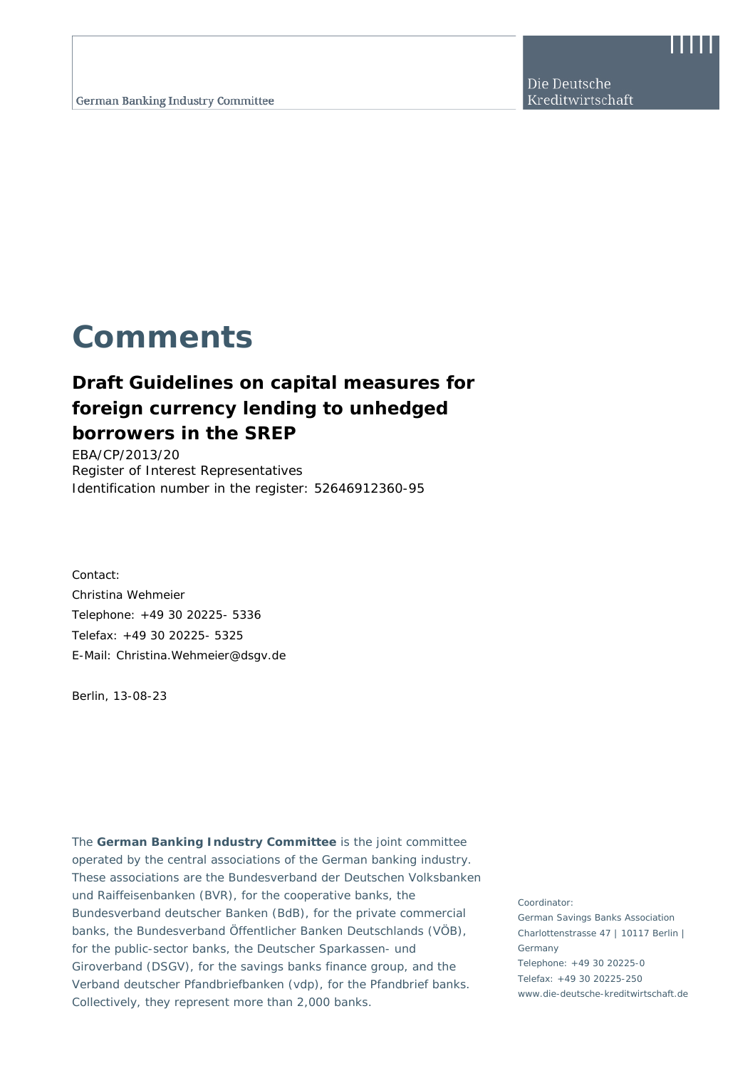Die Deutsche Kreditwirtschaft

# **Comments**

# **Draft Guidelines on capital measures for foreign currency lending to unhedged borrowers in the SREP**

EBA/CP/2013/20 Register of Interest Representatives Identification number in the register: 52646912360-95

Contact: Christina Wehmeier Telephone: +49 30 20225- 5336 Telefax: +49 30 20225- 5325 E-Mail: Christina.Wehmeier@dsgv.de

Berlin, 13-08-23

The **German Banking Industry Committee** is the joint committee operated by the central associations of the German banking industry. These associations are the Bundesverband der Deutschen Volksbanken und Raiffeisenbanken (BVR), for the cooperative banks, the Bundesverband deutscher Banken (BdB), for the private commercial banks, the Bundesverband Öffentlicher Banken Deutschlands (VÖB), for the public-sector banks, the Deutscher Sparkassen- und Giroverband (DSGV), for the savings banks finance group, and the Verband deutscher Pfandbriefbanken (vdp), for the Pfandbrief banks. Collectively, they represent more than 2,000 banks.

Coordinator: German Savings Banks Association Charlottenstrasse 47 | 10117 Berlin | Germany Telephone: +49 30 20225-0 Telefax: +49 30 20225-250 www.die-deutsche-kreditwirtschaft.de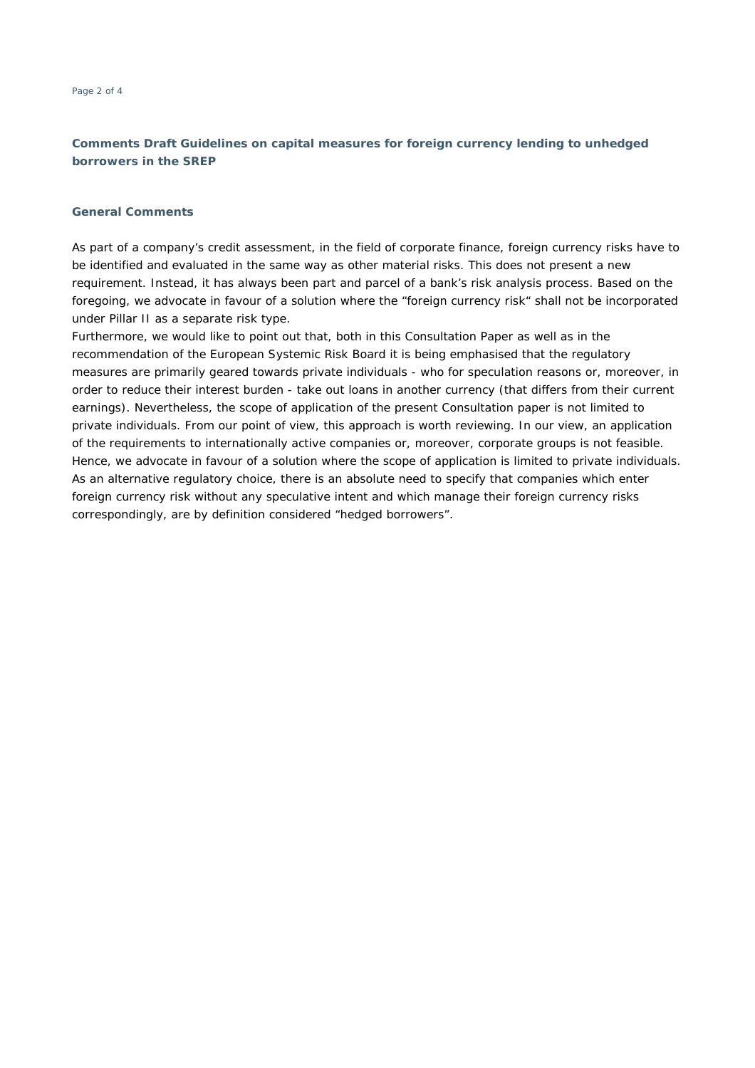# **Comments Draft Guidelines on capital measures for foreign currency lending to unhedged borrowers in the SREP**

#### **General Comments**

As part of a company's credit assessment, in the field of corporate finance, foreign currency risks have to be identified and evaluated in the same way as other material risks. This does not present a new requirement. Instead, it has always been part and parcel of a bank's risk analysis process. Based on the foregoing, we advocate in favour of a solution where the "foreign currency risk" shall not be incorporated under Pillar II as a separate risk type.

Furthermore, we would like to point out that, both in this Consultation Paper as well as in the recommendation of the European Systemic Risk Board it is being emphasised that the regulatory measures are primarily geared towards private individuals - who for speculation reasons or, moreover, in order to reduce their interest burden - take out loans in another currency (that differs from their current earnings). Nevertheless, the scope of application of the present Consultation paper is not limited to private individuals. From our point of view, this approach is worth reviewing. In our view, an application of the requirements to internationally active companies or, moreover, corporate groups is not feasible. Hence, we advocate in favour of a solution where the scope of application is limited to private individuals. As an alternative regulatory choice, there is an absolute need to specify that companies which enter foreign currency risk without any speculative intent and which manage their foreign currency risks correspondingly, are by definition considered "hedged borrowers".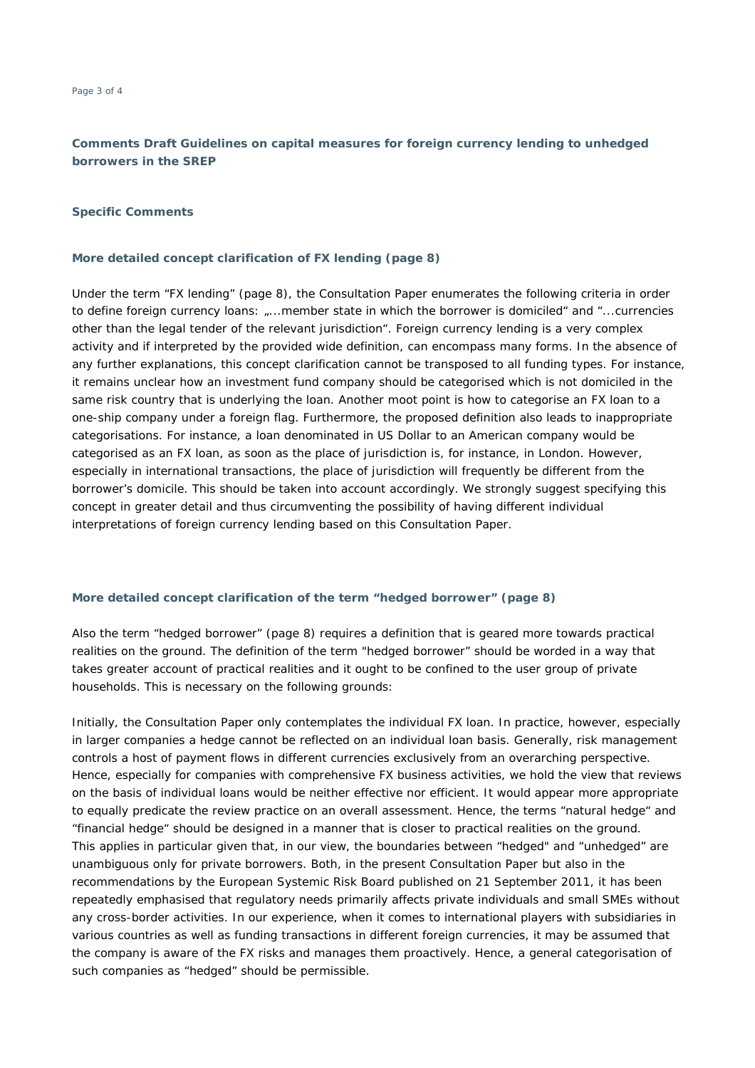# **Comments Draft Guidelines on capital measures for foreign currency lending to unhedged borrowers in the SREP**

#### **Specific Comments**

#### **More detailed concept clarification of FX lending (page 8)**

Under the term "FX lending" (page 8), the Consultation Paper enumerates the following criteria in order to define foreign currency loans: "...member state in which the borrower is domiciled" and "...currencies other than the legal tender of the relevant jurisdiction". Foreign currency lending is a very complex activity and if interpreted by the provided wide definition, can encompass many forms. In the absence of any further explanations, this concept clarification cannot be transposed to all funding types. For instance, it remains unclear how an investment fund company should be categorised which is not domiciled in the same risk country that is underlying the loan. Another moot point is how to categorise an FX loan to a one-ship company under a foreign flag. Furthermore, the proposed definition also leads to inappropriate categorisations. For instance, a loan denominated in US Dollar to an American company would be categorised as an FX loan, as soon as the place of jurisdiction is, for instance, in London. However, especially in international transactions, the place of jurisdiction will frequently be different from the borrower's domicile. This should be taken into account accordingly. We strongly suggest specifying this concept in greater detail and thus circumventing the possibility of having different individual interpretations of foreign currency lending based on this Consultation Paper.

#### **More detailed concept clarification of the term "hedged borrower" (page 8)**

Also the term "hedged borrower" (page 8) requires a definition that is geared more towards practical realities on the ground. The definition of the term "hedged borrower" should be worded in a way that takes greater account of practical realities and it ought to be confined to the user group of private households. This is necessary on the following grounds:

Initially, the Consultation Paper only contemplates the individual FX loan. In practice, however, especially in larger companies a hedge cannot be reflected on an individual loan basis. Generally, risk management controls a host of payment flows in different currencies exclusively from an overarching perspective. Hence, especially for companies with comprehensive FX business activities, we hold the view that reviews on the basis of individual loans would be neither effective nor efficient. It would appear more appropriate to equally predicate the review practice on an overall assessment. Hence, the terms "natural hedge" and "financial hedge" should be designed in a manner that is closer to practical realities on the ground. This applies in particular given that, in our view, the boundaries between "hedged" and "unhedged" are unambiguous only for private borrowers. Both, in the present Consultation Paper but also in the recommendations by the European Systemic Risk Board published on 21 September 2011, it has been repeatedly emphasised that regulatory needs primarily affects private individuals and small SMEs without any cross-border activities. In our experience, when it comes to international players with subsidiaries in various countries as well as funding transactions in different foreign currencies, it may be assumed that the company is aware of the FX risks and manages them proactively. Hence, a general categorisation of such companies as "hedged" should be permissible.